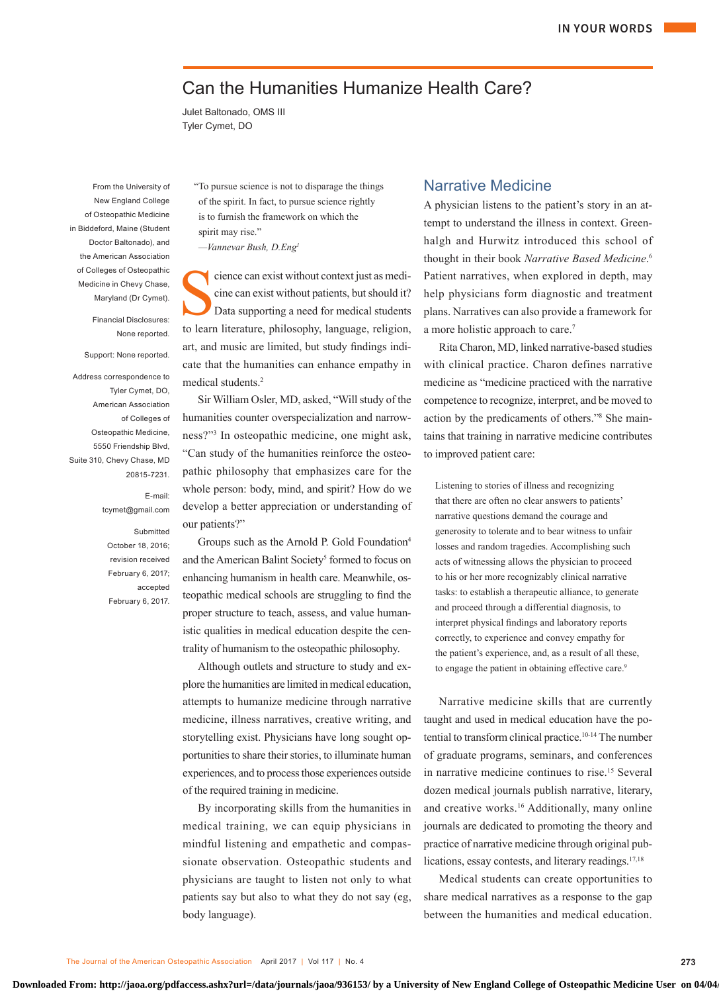# Can the Humanities Humanize Health Care?

Julet Baltonado, OMS III Tyler Cymet, DO

From the University of New England College of Osteopathic Medicine in Biddeford, Maine (Student Doctor Baltonado), and the American Association of Colleges of Osteopathic Medicine in Chevy Chase, Maryland (Dr Cymet).

> Financial Disclosures: None reported.

Support: None reported.

Address correspondence to Tyler Cymet, DO, American Association of Colleges of Osteopathic Medicine, 5550 Friendship Blvd, Suite 310, Chevy Chase, MD 20815-7231.

> E-mail: tcymet@gmail.com

**Submitted** October 18, 2016; revision received February 6, 2017; accepted February 6, 2017.

"To pursue science is not to disparage the things of the spirit. In fact, to pursue science rightly is to furnish the framework on which the spirit may rise."

*—Vannevar Bush, D.Eng1*

Science can exist without context just as medicine<br>cine can exist without patients, but should it?<br>Data supporting a need for medical students cine can exist without patients, but should it? Data supporting a need for medical students to learn literature, philosophy, language, religion, art, and music are limited, but study findings indicate that the humanities can enhance empathy in medical students.2

Sir William Osler, MD, asked, "Will study of the humanities counter overspecialization and narrowness?"3 In osteopathic medicine, one might ask, "Can study of the humanities reinforce the osteopathic philosophy that emphasizes care for the whole person: body, mind, and spirit? How do we develop a better appreciation or understanding of our patients?"

Groups such as the Arnold P. Gold Foundation4 and the American Balint Society<sup>5</sup> formed to focus on enhancing humanism in health care. Meanwhile, osteopathic medical schools are struggling to find the proper structure to teach, assess, and value humanistic qualities in medical education despite the centrality of humanism to the osteopathic philosophy.

Although outlets and structure to study and explore the humanities are limited in medical education, attempts to humanize medicine through narrative medicine, illness narratives, creative writing, and storytelling exist. Physicians have long sought opportunities to share their stories, to illuminate human experiences, and to process those experiences outside of the required training in medicine.

By incorporating skills from the humanities in medical training, we can equip physicians in mindful listening and empathetic and compassionate observation. Osteopathic students and physicians are taught to listen not only to what patients say but also to what they do not say (eg, body language).

## Narrative Medicine

A physician listens to the patient's story in an attempt to understand the illness in context. Greenhalgh and Hurwitz introduced this school of thought in their book *Narrative Based Medicine*. 6 Patient narratives, when explored in depth, may help physicians form diagnostic and treatment plans. Narratives can also provide a framework for a more holistic approach to care.7

Rita Charon, MD, linked narrative-based studies with clinical practice. Charon defines narrative medicine as "medicine practiced with the narrative competence to recognize, interpret, and be moved to action by the predicaments of others."8 She maintains that training in narrative medicine contributes to improved patient care:

Listening to stories of illness and recognizing that there are often no clear answers to patients' narrative questions demand the courage and generosity to tolerate and to bear witness to unfair losses and random tragedies. Accomplishing such acts of witnessing allows the physician to proceed to his or her more recognizably clinical narrative tasks: to establish a therapeutic alliance, to generate and proceed through a differential diagnosis, to interpret physical findings and laboratory reports correctly, to experience and convey empathy for the patient's experience, and, as a result of all these, to engage the patient in obtaining effective care.<sup>9</sup>

Narrative medicine skills that are currently taught and used in medical education have the potential to transform clinical practice.10-14 The number of graduate programs, seminars, and conferences in narrative medicine continues to rise.15 Several dozen medical journals publish narrative, literary, and creative works.<sup>16</sup> Additionally, many online journals are dedicated to promoting the theory and practice of narrative medicine through original publications, essay contests, and literary readings.<sup>17,18</sup>

Medical students can create opportunities to share medical narratives as a response to the gap between the humanities and medical education.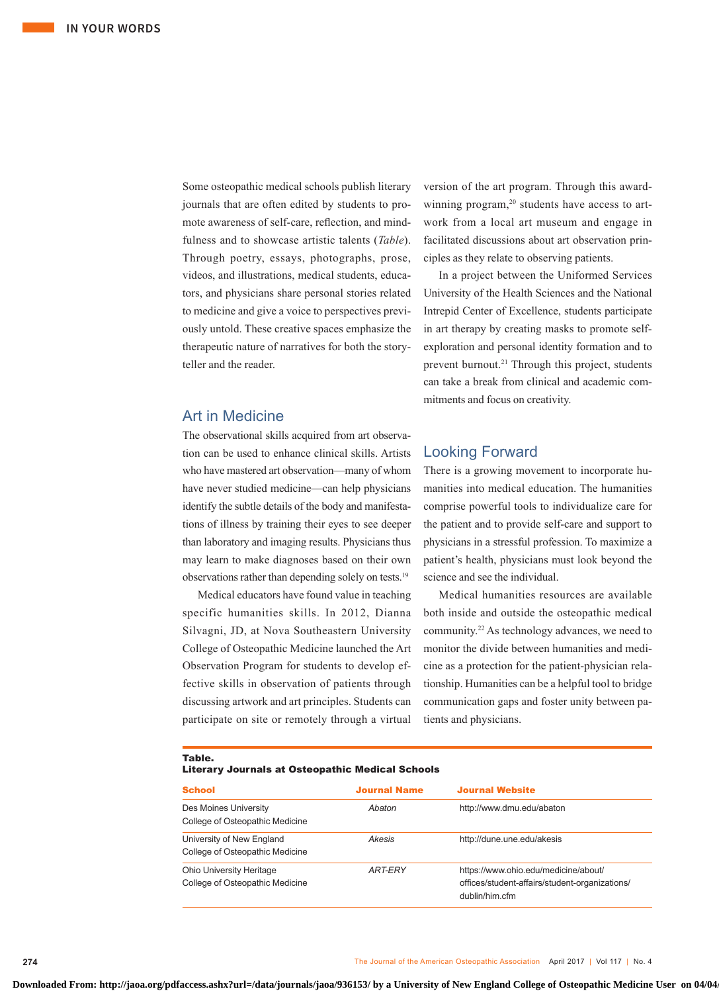Some osteopathic medical schools publish literary journals that are often edited by students to promote awareness of self-care, reflection, and mindfulness and to showcase artistic talents (*Table*). Through poetry, essays, photographs, prose, videos, and illustrations, medical students, educators, and physicians share personal stories related to medicine and give a voice to perspectives previously untold. These creative spaces emphasize the therapeutic nature of narratives for both the storyteller and the reader.

# Art in Medicine

The observational skills acquired from art observation can be used to enhance clinical skills. Artists who have mastered art observation—many of whom have never studied medicine—can help physicians identify the subtle details of the body and manifestations of illness by training their eyes to see deeper than laboratory and imaging results. Physicians thus may learn to make diagnoses based on their own observations rather than depending solely on tests.19

Medical educators have found value in teaching specific humanities skills. In 2012, Dianna Silvagni, JD, at Nova Southeastern University College of Osteopathic Medicine launched the Art Observation Program for students to develop effective skills in observation of patients through discussing artwork and art principles. Students can participate on site or remotely through a virtual version of the art program. Through this awardwinning program,<sup>20</sup> students have access to artwork from a local art museum and engage in facilitated discussions about art observation principles as they relate to observing patients.

In a project between the Uniformed Services University of the Health Sciences and the National Intrepid Center of Excellence, students participate in art therapy by creating masks to promote selfexploration and personal identity formation and to prevent burnout.<sup>21</sup> Through this project, students can take a break from clinical and academic commitments and focus on creativity.

## Looking Forward

There is a growing movement to incorporate humanities into medical education. The humanities comprise powerful tools to individualize care for the patient and to provide self-care and support to physicians in a stressful profession. To maximize a patient's health, physicians must look beyond the science and see the individual.

Medical humanities resources are available both inside and outside the osteopathic medical community.22 As technology advances, we need to monitor the divide between humanities and medicine as a protection for the patient-physician relationship. Humanities can be a helpful tool to bridge communication gaps and foster unity between patients and physicians.

#### Table.

#### Literary Journals at Osteopathic Medical Schools

| <b>School</b>                                                      | <b>Journal Name</b> | <b>Journal Website</b>                                                                                   |
|--------------------------------------------------------------------|---------------------|----------------------------------------------------------------------------------------------------------|
| Des Moines University<br>College of Osteopathic Medicine           | Abaton              | http://www.dmu.edu/abaton                                                                                |
| University of New England<br>College of Osteopathic Medicine       | Akesis              | http://dune.une.edu/akesis                                                                               |
| <b>Ohio University Heritage</b><br>College of Osteopathic Medicine | <b>ART-ERY</b>      | https://www.ohio.edu/medicine/about/<br>offices/student-affairs/student-organizations/<br>dublin/him.cfm |